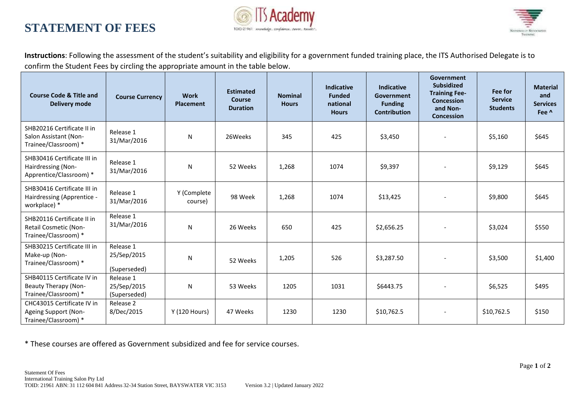## TOID-21961 Knowledge, Confidence, Penne, Results\*

## **STATEMENT OF FEES**



**Instructions**: Following the assessment of the student's suitability and eligibility for a government funded training place, the ITS Authorised Delegate is to confirm the Student Fees by circling the appropriate amount in the table below.

| <b>Course Code &amp; Title and</b><br><b>Delivery mode</b>                        | <b>Course Currency</b>                   | <b>Work</b><br><b>Placement</b> | <b>Estimated</b><br><b>Course</b><br><b>Duration</b> | <b>Nominal</b><br><b>Hours</b> | <b>Indicative</b><br><b>Funded</b><br>national<br><b>Hours</b> | <b>Indicative</b><br>Government<br><b>Funding</b><br><b>Contribution</b> | Government<br><b>Subsidized</b><br><b>Training Fee-</b><br><b>Concession</b><br>and Non-<br><b>Concession</b> | Fee for<br><b>Service</b><br><b>Students</b> | <b>Material</b><br>and<br><b>Services</b><br>Fee ^ |
|-----------------------------------------------------------------------------------|------------------------------------------|---------------------------------|------------------------------------------------------|--------------------------------|----------------------------------------------------------------|--------------------------------------------------------------------------|---------------------------------------------------------------------------------------------------------------|----------------------------------------------|----------------------------------------------------|
| SHB20216 Certificate II in<br>Salon Assistant (Non-<br>Trainee/Classroom) *       | Release 1<br>31/Mar/2016                 | ${\sf N}$                       | 26Weeks                                              | 345                            | 425                                                            | \$3,450                                                                  | $\blacksquare$                                                                                                | \$5,160                                      | \$645                                              |
| SHB30416 Certificate III in<br>Hairdressing (Non-<br>Apprentice/Classroom) *      | Release 1<br>31/Mar/2016                 | ${\sf N}$                       | 52 Weeks                                             | 1,268                          | 1074                                                           | \$9,397                                                                  | $\blacksquare$                                                                                                | \$9,129                                      | \$645                                              |
| SHB30416 Certificate III in<br>Hairdressing (Apprentice -<br>workplace) *         | Release 1<br>31/Mar/2016                 | Y (Complete<br>course)          | 98 Week                                              | 1,268                          | 1074                                                           | \$13,425                                                                 |                                                                                                               | \$9,800                                      | \$645                                              |
| SHB20116 Certificate II in<br>Retail Cosmetic (Non-<br>Trainee/Classroom) *       | Release 1<br>31/Mar/2016                 | ${\sf N}$                       | 26 Weeks                                             | 650                            | 425                                                            | \$2,656.25                                                               | $\blacksquare$                                                                                                | \$3,024                                      | \$550                                              |
| SHB30215 Certificate III in<br>Make-up (Non-<br>Trainee/Classroom) *              | Release 1<br>25/Sep/2015<br>(Superseded) | ${\sf N}$                       | 52 Weeks                                             | 1,205                          | 526                                                            | \$3,287.50                                                               |                                                                                                               | \$3,500                                      | \$1,400                                            |
| SHB40115 Certificate IV in<br><b>Beauty Therapy (Non-</b><br>Trainee/Classroom) * | Release 1<br>25/Sep/2015<br>(Superseded) | N                               | 53 Weeks                                             | 1205                           | 1031                                                           | \$6443.75                                                                | $\overline{\phantom{a}}$                                                                                      | \$6,525                                      | \$495                                              |
| CHC43015 Certificate IV in<br>Ageing Support (Non-<br>Trainee/Classroom) *        | Release 2<br>8/Dec/2015                  | Y (120 Hours)                   | 47 Weeks                                             | 1230                           | 1230                                                           | \$10,762.5                                                               |                                                                                                               | \$10,762.5                                   | \$150                                              |

\* These courses are offered as Government subsidized and fee for service courses.